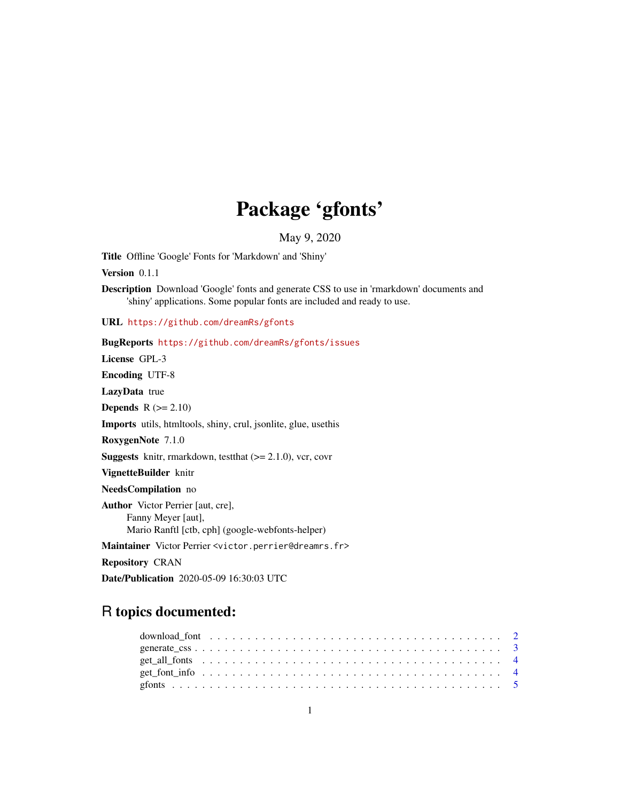## Package 'gfonts'

May 9, 2020

<span id="page-0-0"></span>Title Offline 'Google' Fonts for 'Markdown' and 'Shiny'

Version 0.1.1

Description Download 'Google' fonts and generate CSS to use in 'rmarkdown' documents and 'shiny' applications. Some popular fonts are included and ready to use.

URL <https://github.com/dreamRs/gfonts>

#### BugReports <https://github.com/dreamRs/gfonts/issues>

License GPL-3

Encoding UTF-8

LazyData true

**Depends**  $R$  ( $>= 2.10$ )

Imports utils, htmltools, shiny, crul, jsonlite, glue, usethis

RoxygenNote 7.1.0

**Suggests** knitr, rmarkdown, test that  $(>= 2.1.0)$ , vcr, covr

VignetteBuilder knitr

NeedsCompilation no

Author Victor Perrier [aut, cre], Fanny Meyer [aut], Mario Ranftl [ctb, cph] (google-webfonts-helper)

Maintainer Victor Perrier <victor.perrier@dreamrs.fr>

Repository CRAN

Date/Publication 2020-05-09 16:30:03 UTC

### R topics documented: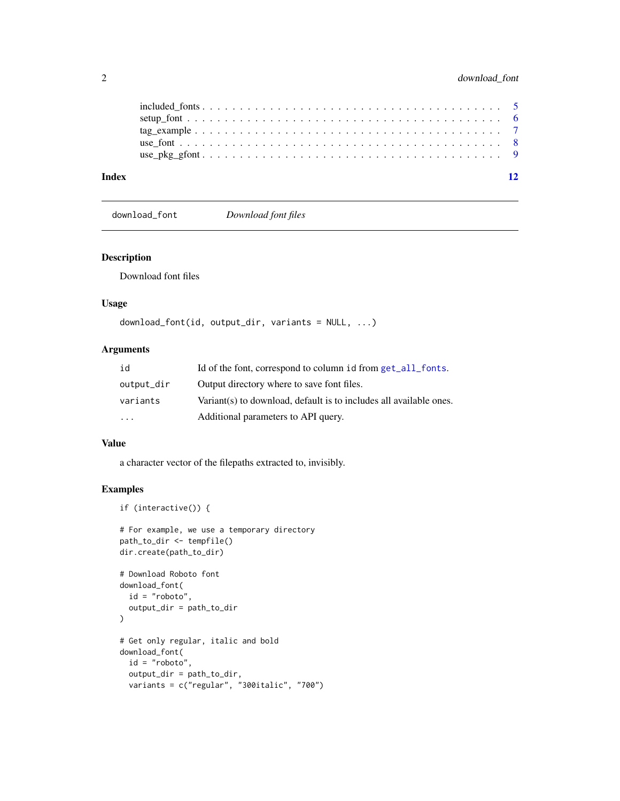<span id="page-1-0"></span>

| Index | 12 |
|-------|----|
|       |    |
|       |    |
|       |    |
|       |    |
|       |    |

download\_font *Download font files*

#### Description

Download font files

#### Usage

```
download_font(id, output_dir, variants = NULL, ...)
```
#### Arguments

| id         | Id of the font, correspond to column id from get_all_fonts.        |
|------------|--------------------------------------------------------------------|
| output_dir | Output directory where to save font files.                         |
| variants   | Variant(s) to download, default is to includes all available ones. |
| $\cdots$   | Additional parameters to API query.                                |

#### Value

a character vector of the filepaths extracted to, invisibly.

```
if (interactive()) {
```

```
# For example, we use a temporary directory
path_to_dir <- tempfile()
dir.create(path_to_dir)
# Download Roboto font
download_font(
  id = "roboto",
  output_dir = path_to_dir
\overline{\phantom{a}}# Get only regular, italic and bold
download_font(
  id = "roboto",
  output_dir = path_to_dir,
  variants = c("regular", "300italic", "700")
```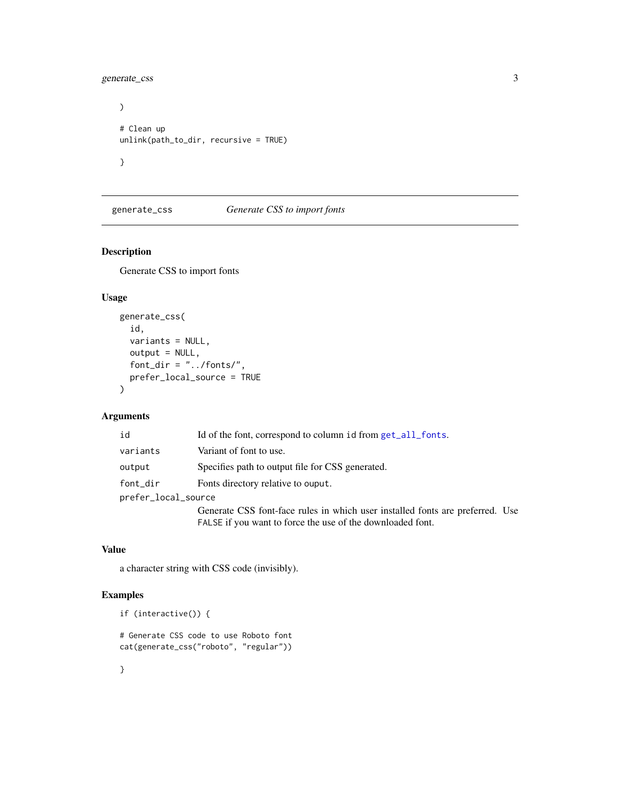<span id="page-2-0"></span>generate\_css 3

```
\overline{)}# Clean up
unlink(path_to_dir, recursive = TRUE)
}
```
generate\_css *Generate CSS to import fonts*

#### Description

Generate CSS to import fonts

#### Usage

```
generate_css(
 id,
 variants = NULL,
 output = NULL,font_dir = "../fonts/",
 prefer_local_source = TRUE
)
```
#### Arguments

| id                  | Id of the font, correspond to column id from get_all_fonts.                   |
|---------------------|-------------------------------------------------------------------------------|
| variants            | Variant of font to use.                                                       |
| output              | Specifies path to output file for CSS generated.                              |
| font_dir            | Fonts directory relative to ouput.                                            |
| prefer_local_source |                                                                               |
|                     | Generate CSS font-face rules in which user installed fonts are preferred. Use |
|                     | FALSE if you want to force the use of the downloaded font.                    |

#### Value

a character string with CSS code (invisibly).

```
if (interactive()) {
# Generate CSS code to use Roboto font
cat(generate_css("roboto", "regular"))
```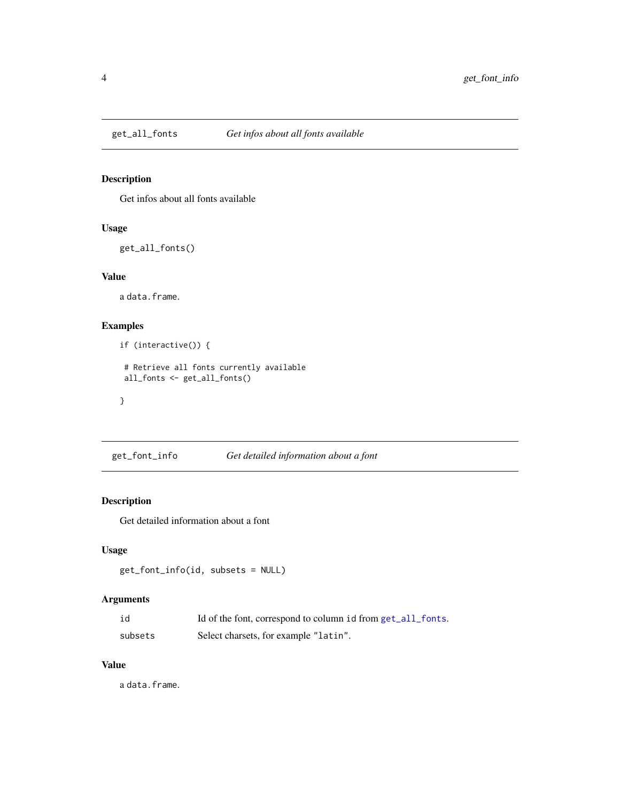<span id="page-3-1"></span><span id="page-3-0"></span>

#### Description

Get infos about all fonts available

#### Usage

get\_all\_fonts()

#### Value

a data.frame.

#### Examples

```
if (interactive()) {
# Retrieve all fonts currently available
all_fonts <- get_all_fonts()
}
```

```
get_font_info Get detailed information about a font
```
#### Description

Get detailed information about a font

#### Usage

```
get_font_info(id, subsets = NULL)
```
#### Arguments

| id      | Id of the font, correspond to column id from get_all_fonts. |
|---------|-------------------------------------------------------------|
| subsets | Select charsets, for example "latin".                       |

#### Value

a data.frame.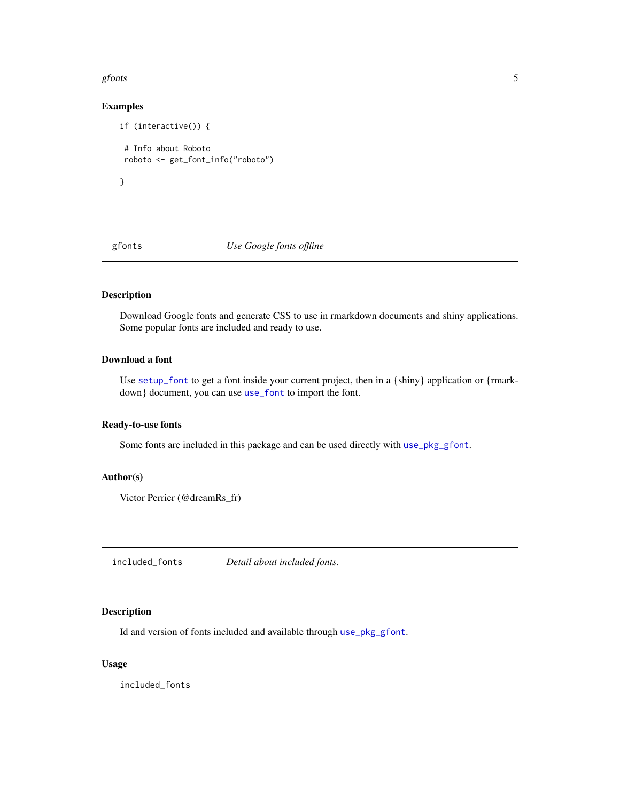#### <span id="page-4-0"></span>gfonts  $\sim$  5

#### Examples

```
if (interactive()) {
# Info about Roboto
roboto <- get_font_info("roboto")
}
```
gfonts *Use Google fonts offline*

#### Description

Download Google fonts and generate CSS to use in rmarkdown documents and shiny applications. Some popular fonts are included and ready to use.

#### Download a font

Use [setup\\_font](#page-5-1) to get a font inside your current project, then in a {shiny} application or {rmarkdown} document, you can use [use\\_font](#page-7-1) to import the font.

#### Ready-to-use fonts

Some fonts are included in this package and can be used directly with [use\\_pkg\\_gfont](#page-8-1).

#### Author(s)

Victor Perrier (@dreamRs\_fr)

included\_fonts *Detail about included fonts.*

#### Description

Id and version of fonts included and available through [use\\_pkg\\_gfont](#page-8-1).

#### Usage

included\_fonts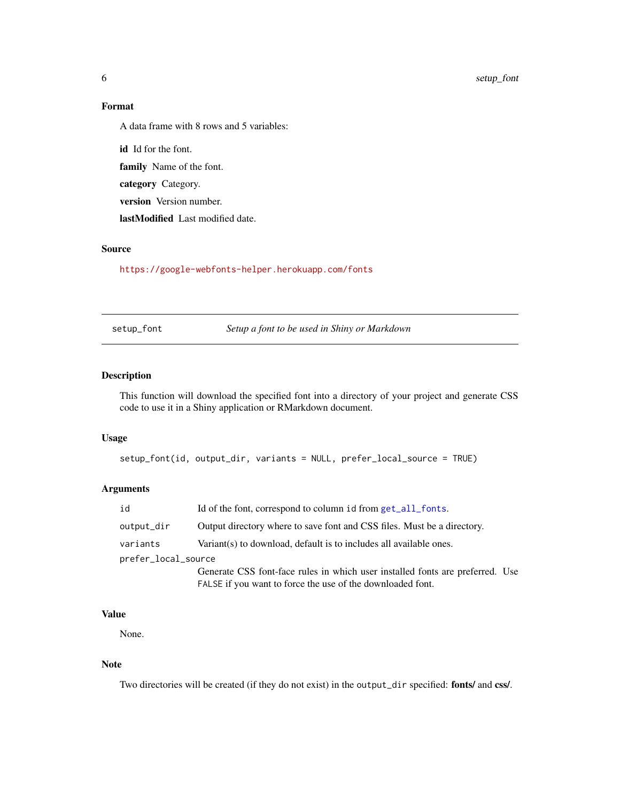<span id="page-5-0"></span>6 setup\_font

#### Format

A data frame with 8 rows and 5 variables:

id Id for the font.

family Name of the font.

category Category.

version Version number.

lastModified Last modified date.

#### Source

<https://google-webfonts-helper.herokuapp.com/fonts>

<span id="page-5-1"></span>setup\_font *Setup a font to be used in Shiny or Markdown*

#### Description

This function will download the specified font into a directory of your project and generate CSS code to use it in a Shiny application or RMarkdown document.

#### Usage

setup\_font(id, output\_dir, variants = NULL, prefer\_local\_source = TRUE)

#### Arguments

| id                  | Id of the font, correspond to column id from get_all_fonts.                   |
|---------------------|-------------------------------------------------------------------------------|
| output_dir          | Output directory where to save font and CSS files. Must be a directory.       |
| variants            | Variant(s) to download, default is to includes all available ones.            |
| prefer_local_source |                                                                               |
|                     | Generate CSS font-face rules in which user installed fonts are preferred. Use |
|                     | FALSE if you want to force the use of the downloaded font.                    |

#### Value

None.

#### Note

Two directories will be created (if they do not exist) in the output\_dir specified: fonts/ and css/.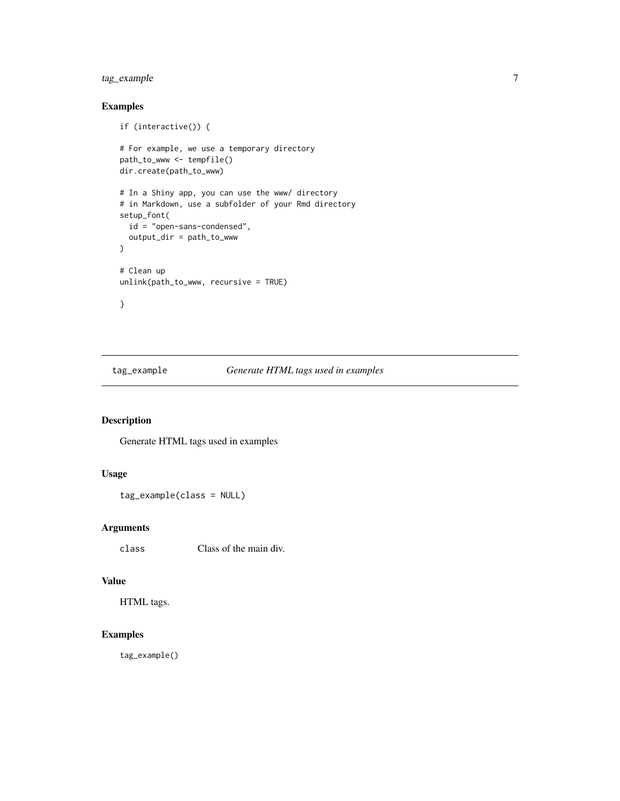#### <span id="page-6-0"></span>tag\_example 7

#### Examples

```
if (interactive()) {
# For example, we use a temporary directory
path_to_www <- tempfile()
dir.create(path_to_www)
# In a Shiny app, you can use the www/ directory
# in Markdown, use a subfolder of your Rmd directory
setup_font(
 id = "open-sans-condensed",
  output_dir = path_to_www
\lambda# Clean up
unlink(path_to_www, recursive = TRUE)
}
```
#### tag\_example *Generate HTML tags used in examples*

#### Description

Generate HTML tags used in examples

#### Usage

```
tag_example(class = NULL)
```
#### Arguments

class Class of the main div.

#### Value

HTML tags.

#### Examples

tag\_example()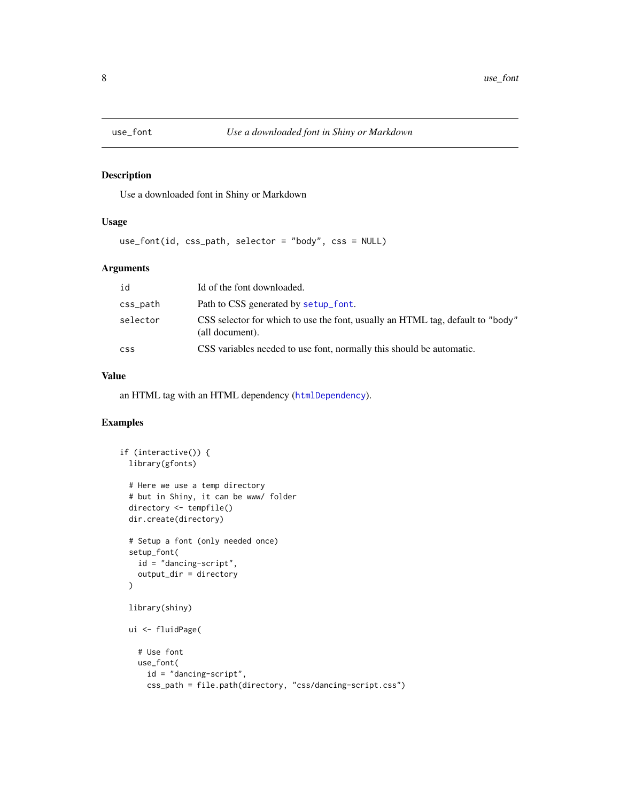<span id="page-7-1"></span><span id="page-7-0"></span>

#### Description

Use a downloaded font in Shiny or Markdown

#### Usage

use\_font(id, css\_path, selector = "body", css = NULL)

#### Arguments

| id         | Id of the font downloaded.                                                                        |
|------------|---------------------------------------------------------------------------------------------------|
| css_path   | Path to CSS generated by setup font.                                                              |
| selector   | CSS selector for which to use the font, usually an HTML tag, default to "body"<br>(all document). |
| <b>CSS</b> | CSS variables needed to use font, normally this should be automatic.                              |

#### Value

an HTML tag with an HTML dependency ([htmlDependency](#page-0-0)).

```
if (interactive()) {
 library(gfonts)
 # Here we use a temp directory
 # but in Shiny, it can be www/ folder
 directory <- tempfile()
 dir.create(directory)
 # Setup a font (only needed once)
 setup_font(
   id = "dancing-script",
   output_dir = directory
 \mathcal{L}library(shiny)
 ui <- fluidPage(
    # Use font
   use_font(
     id = "dancing-script",
      css_path = file.path(directory, "css/dancing-script.css")
```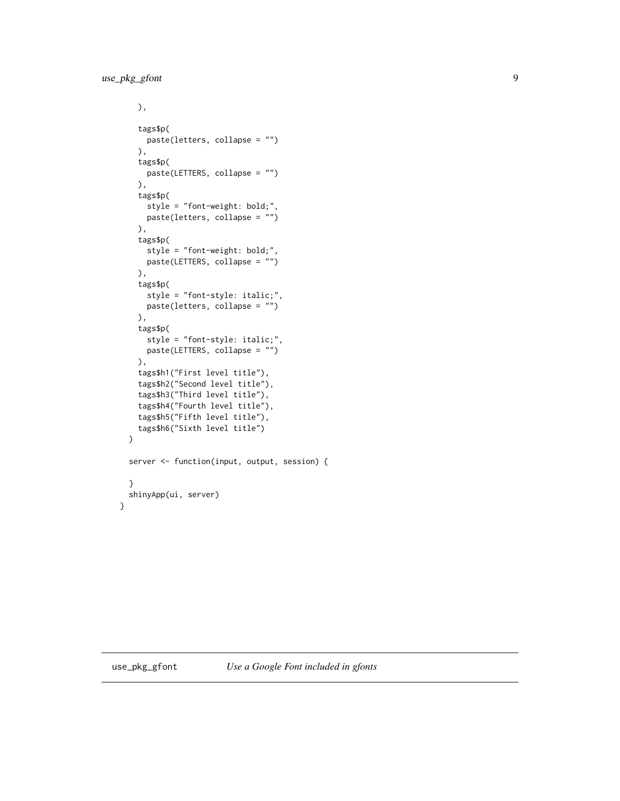```
),
    tags$p(
     paste(letters, collapse = "")
   ),
    tags$p(
     paste(LETTERS, collapse = "")
   ),
    tags$p(
     style = "font-weight: bold;",
     paste(letters, collapse = "")
   ),
    tags$p(
     style = "font-weight: bold;",
     paste(LETTERS, collapse = "")
   ),
   tags$p(
     style = "font-style: italic;",
     paste(letters, collapse = "")
   ),
   tags$p(
     style = "font-style: italic;",
     paste(LETTERS, collapse = "")
   ),
    tags$h1("First level title"),
    tags$h2("Second level title"),
    tags$h3("Third level title"),
    tags$h4("Fourth level title"),
   tags$h5("Fifth level title"),
    tags$h6("Sixth level title")
 )
 server <- function(input, output, session) {
 }
 shinyApp(ui, server)
}
```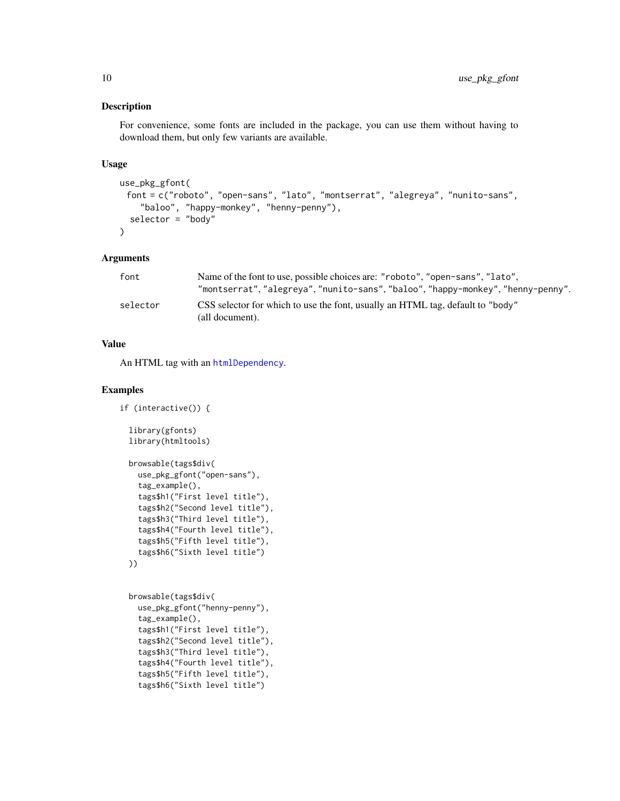#### Description

For convenience, some fonts are included in the package, you can use them without having to download them, but only few variants are available.

#### Usage

```
use_pkg_gfont(
 font = c("roboto", "open-sans", "lato", "montserrat", "alegreya", "nunito-sans",
    "baloo", "happy-monkey", "henny-penny"),
  selector = "body"
)
```
#### Arguments

| font     | Name of the font to use, possible choices are: "roboto", "open-sans", "lato",                     |
|----------|---------------------------------------------------------------------------------------------------|
|          | "montserrat","alegreya","nunito-sans","baloo","happy-monkey","henny-penny".                       |
| selector | CSS selector for which to use the font, usually an HTML tag, default to "body"<br>(all document). |

#### Value

An HTML tag with an [htmlDependency](#page-0-0).

```
if (interactive()) {
 library(gfonts)
 library(htmltools)
```

```
browsable(tags$div(
 use_pkg_gfont("open-sans"),
  tag_example(),
  tags$h1("First level title"),
  tags$h2("Second level title"),
  tags$h3("Third level title"),
  tags$h4("Fourth level title"),
  tags$h5("Fifth level title"),
  tags$h6("Sixth level title")
```

```
))
```

```
browsable(tags$div(
 use_pkg_gfont("henny-penny"),
  tag_example(),
  tags$h1("First level title"),
  tags$h2("Second level title"),
  tags$h3("Third level title"),
  tags$h4("Fourth level title"),
  tags$h5("Fifth level title"),
  tags$h6("Sixth level title")
```
<span id="page-9-0"></span>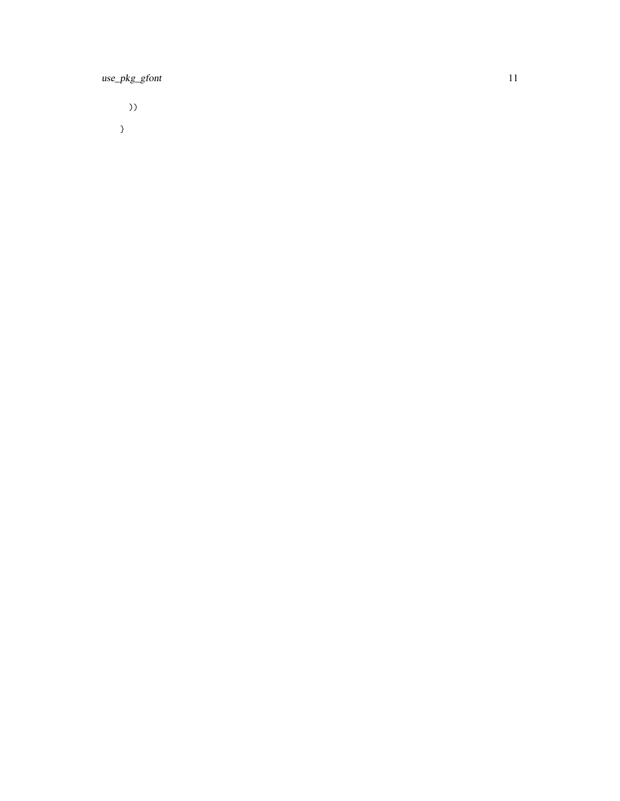use\_pkg\_gfont 11

))

}